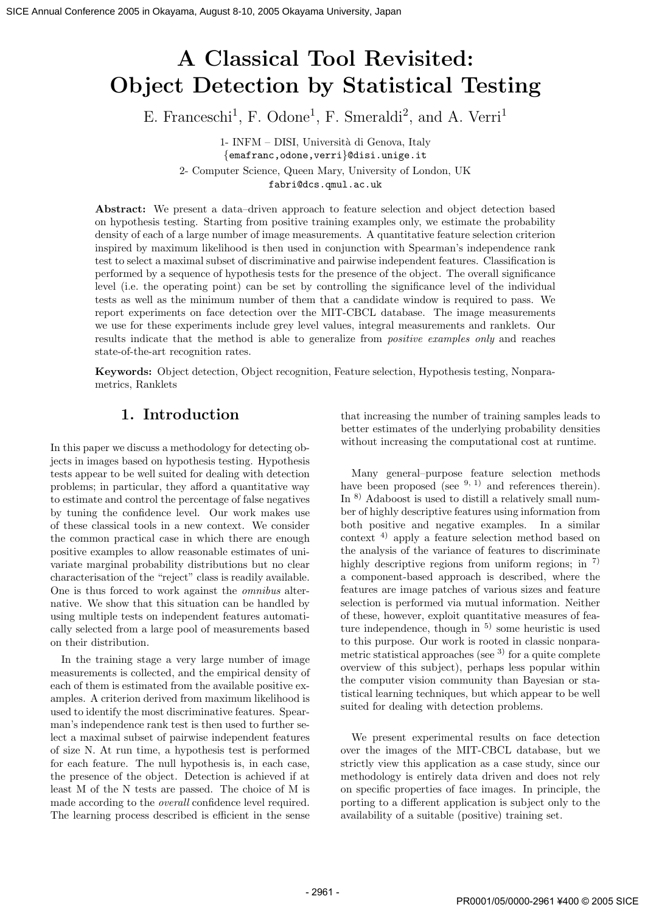# A Classical Tool Revisited: Object Detection by Statistical Testing

E. Franceschi<sup>1</sup>, F. Odone<sup>1</sup>, F. Smeraldi<sup>2</sup>, and A. Verri<sup>1</sup>

1- INFM – DISI, Universit`a di Genova, Italy {emafranc,odone,verri}@disi.unige.it 2- Computer Science, Queen Mary, University of London, UK fabri@dcs.qmul.ac.uk

Abstract: We present a data–driven approach to feature selection and object detection based on hypothesis testing. Starting from positive training examples only, we estimate the probability density of each of a large number of image measurements. A quantitative feature selection criterion inspired by maximum likelihood is then used in conjunction with Spearman's independence rank test to select a maximal subset of discriminative and pairwise independent features. Classification is performed by a sequence of hypothesis tests for the presence of the object. The overall significance level (i.e. the operating point) can be set by controlling the significance level of the individual tests as well as the minimum number of them that a candidate window is required to pass. We report experiments on face detection over the MIT-CBCL database. The image measurements we use for these experiments include grey level values, integral measurements and ranklets. Our results indicate that the method is able to generalize from *positive examples only* and reaches state-of-the-art recognition rates. 36.. Amos Conference 2005 in Okayama, (amos Conference 2006) and Conference 2006) and Conference 2006 in Okayama University, Japan Property 2006 in Okayama University, Japan Property 2006 in Okayama University (and A. Ver

Keywords: Object detection, Object recognition, Feature selection, Hypothesis testing, Nonparametrics, Ranklets

# 1. Introduction

In this paper we discuss a methodology for detecting objects in images based on hypothesis testing. Hypothesis tests appear to be well suited for dealing with detection problems; in particular, they afford a quantitative way to estimate and control the percentage of false negatives by tuning the confidence level. Our work makes use of these classical tools in a new context. We consider the common practical case in which there are enough positive examples to allow reasonable estimates of univariate marginal probability distributions but no clear characterisation of the "reject" class is readily available. One is thus forced to work against the omnibus alternative. We show that this situation can be handled by using multiple tests on independent features automatically selected from a large pool of measurements based on their distribution.

In the training stage a very large number of image measurements is collected, and the empirical density of each of them is estimated from the available positive examples. A criterion derived from maximum likelihood is used to identify the most discriminative features. Spearman's independence rank test is then used to further select a maximal subset of pairwise independent features of size N. At run time, a hypothesis test is performed for each feature. The null hypothesis is, in each case, the presence of the object. Detection is achieved if at least M of the N tests are passed. The choice of M is made according to the overall confidence level required. The learning process described is efficient in the sense

that increasing the number of training samples leads to better estimates of the underlying probability densities without increasing the computational cost at runtime.

Many general–purpose feature selection methods have been proposed (see  $9, 1$ ) and references therein). In 8) Adaboost is used to distill a relatively small number of highly descriptive features using information from both positive and negative examples. In a similar context 4) apply a feature selection method based on the analysis of the variance of features to discriminate highly descriptive regions from uniform regions; in  $\frac{7}{2}$ a component-based approach is described, where the features are image patches of various sizes and feature selection is performed via mutual information. Neither of these, however, exploit quantitative measures of feature independence, though in  $5$  some heuristic is used to this purpose. Our work is rooted in classic nonparametric statistical approaches (see  $3$ ) for a quite complete overview of this subject), perhaps less popular within the computer vision community than Bayesian or statistical learning techniques, but which appear to be well suited for dealing with detection problems.

We present experimental results on face detection over the images of the MIT-CBCL database, but we strictly view this application as a case study, since our methodology is entirely data driven and does not rely on specific properties of face images. In principle, the porting to a different application is subject only to the availability of a suitable (positive) training set.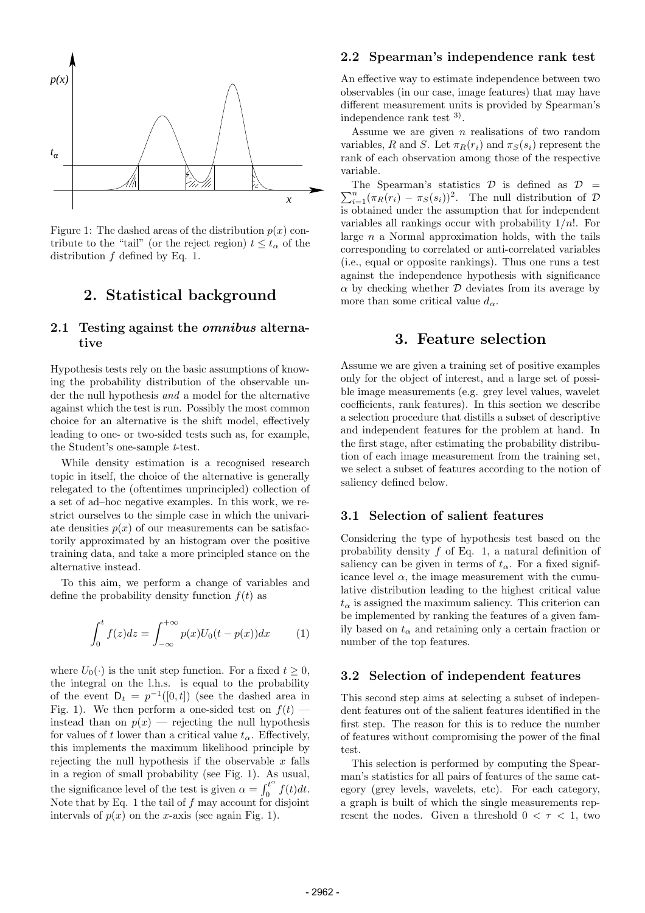

Figure 1: The dashed areas of the distribution  $p(x)$  contribute to the "tail" (or the reject region)  $t \leq t_{\alpha}$  of the distribution  $f$  defined by Eq. 1.

# 2. Statistical background

### 2.1 Testing against the *omnibus* alternative

Hypothesis tests rely on the basic assumptions of knowing the probability distribution of the observable under the null hypothesis and a model for the alternative against which the test is run. Possibly the most common choice for an alternative is the shift model, effectively leading to one- or two-sided tests such as, for example, the Student's one-sample t-test.

While density estimation is a recognised research topic in itself, the choice of the alternative is generally relegated to the (oftentimes unprincipled) collection of a set of ad–hoc negative examples. In this work, we restrict ourselves to the simple case in which the univariate densities  $p(x)$  of our measurements can be satisfactorily approximated by an histogram over the positive training data, and take a more principled stance on the alternative instead.

To this aim, we perform a change of variables and define the probability density function  $f(t)$  as

$$
\int_0^t f(z)dz = \int_{-\infty}^{+\infty} p(x)U_0(t - p(x))dx \qquad (1)
$$

where  $U_0(\cdot)$  is the unit step function. For a fixed  $t \geq 0$ , the integral on the l.h.s. is equal to the probability of the event  $D_t = p^{-1}([0,t])$  (see the dashed area in Fig. 1). We then perform a one-sided test on  $f(t)$  instead than on  $p(x)$  — rejecting the null hypothesis for values of t lower than a critical value  $t_{\alpha}$ . Effectively, this implements the maximum likelihood principle by rejecting the null hypothesis if the observable  $x$  falls in a region of small probability (see Fig. 1). As usual, the significance level of the test is given  $\alpha = \int_0^{t^{\alpha}}$  $\int_0^t f(t)dt$ . Note that by Eq. 1 the tail of  $f$  may account for disjoint intervals of  $p(x)$  on the x-axis (see again Fig. 1).

#### 2.2 Spearman's independence rank test

An effective way to estimate independence between two observables (in our case, image features) that may have different measurement units is provided by Spearman's independence rank test 3) .

Assume we are given  $n$  realisations of two random variables, R and S. Let  $\pi_R(r_i)$  and  $\pi_S(s_i)$  represent the rank of each observation among those of the respective variable.

 $\sum_{i=1}^{n} (\pi_R(r_i) - \pi_S(s_i))^2$ . The null distribution of D The Spearman's statistics  $\mathcal{D}$  is defined as  $\mathcal{D}$  = is obtained under the assumption that for independent variables all rankings occur with probability  $1/n!$ . For large  $n$  a Normal approximation holds, with the tails corresponding to correlated or anti-correlated variables (i.e., equal or opposite rankings). Thus one runs a test against the independence hypothesis with significance  $\alpha$  by checking whether  $\mathcal D$  deviates from its average by more than some critical value  $d_{\alpha}$ .

# 3. Feature selection

Assume we are given a training set of positive examples only for the object of interest, and a large set of possible image measurements (e.g. grey level values, wavelet coefficients, rank features). In this section we describe a selection procedure that distills a subset of descriptive and independent features for the problem at hand. In the first stage, after estimating the probability distribution of each image measurement from the training set, we select a subset of features according to the notion of saliency defined below.

#### 3.1 Selection of salient features

Considering the type of hypothesis test based on the probability density  $f$  of Eq. 1, a natural definition of saliency can be given in terms of  $t_{\alpha}$ . For a fixed significance level  $\alpha$ , the image measurement with the cumulative distribution leading to the highest critical value  $t_{\alpha}$  is assigned the maximum saliency. This criterion can be implemented by ranking the features of a given family based on  $t_{\alpha}$  and retaining only a certain fraction or number of the top features.

#### 3.2 Selection of independent features

This second step aims at selecting a subset of independent features out of the salient features identified in the first step. The reason for this is to reduce the number of features without compromising the power of the final test.

This selection is performed by computing the Spearman's statistics for all pairs of features of the same category (grey levels, wavelets, etc). For each category, a graph is built of which the single measurements represent the nodes. Given a threshold  $0 < \tau < 1$ , two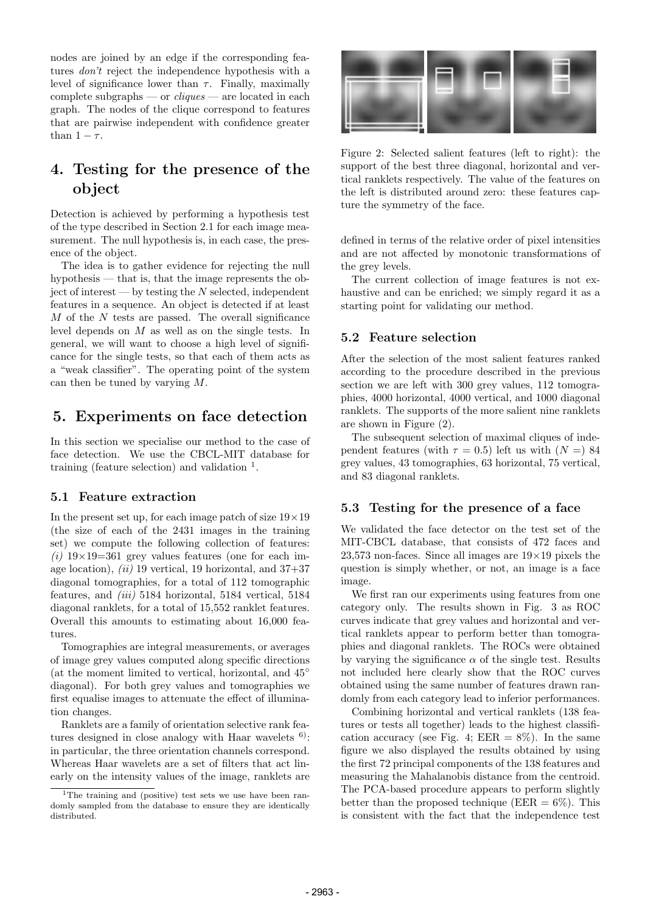nodes are joined by an edge if the corresponding features don't reject the independence hypothesis with a level of significance lower than  $\tau$ . Finally, maximally complete subgraphs — or  $cliques$  — are located in each graph. The nodes of the clique correspond to features that are pairwise independent with confidence greater than  $1 - \tau$ .

# 4. Testing for the presence of the object

Detection is achieved by performing a hypothesis test of the type described in Section 2.1 for each image measurement. The null hypothesis is, in each case, the presence of the object.

The idea is to gather evidence for rejecting the null hypothesis — that is, that the image represents the ob- $\chi$  iect of interest — by testing the N selected, independent features in a sequence. An object is detected if at least  $M$  of the  $N$  tests are passed. The overall significance level depends on M as well as on the single tests. In general, we will want to choose a high level of significance for the single tests, so that each of them acts as a "weak classifier". The operating point of the system can then be tuned by varying M.

# 5. Experiments on face detection

In this section we specialise our method to the case of face detection. We use the CBCL-MIT database for training (feature selection) and validation  $<sup>1</sup>$ .</sup>

### 5.1 Feature extraction

In the present set up, for each image patch of size  $19 \times 19$ (the size of each of the 2431 images in the training set) we compute the following collection of features: (i)  $19\times19=361$  grey values features (one for each image location),  $(ii)$  19 vertical, 19 horizontal, and 37+37 diagonal tomographies, for a total of 112 tomographic features, and (iii) 5184 horizontal, 5184 vertical, 5184 diagonal ranklets, for a total of 15,552 ranklet features. Overall this amounts to estimating about 16,000 features.

Tomographies are integral measurements, or averages of image grey values computed along specific directions (at the moment limited to vertical, horizontal, and  $45^\circ$ ) diagonal). For both grey values and tomographies we first equalise images to attenuate the effect of illumination changes.

Ranklets are a family of orientation selective rank features designed in close analogy with Haar wavelets  $6$ : in particular, the three orientation channels correspond. Whereas Haar wavelets are a set of filters that act linearly on the intensity values of the image, ranklets are



Figure 2: Selected salient features (left to right): the support of the best three diagonal, horizontal and vertical ranklets respectively. The value of the features on the left is distributed around zero: these features capture the symmetry of the face.

defined in terms of the relative order of pixel intensities and are not affected by monotonic transformations of the grey levels.

The current collection of image features is not exhaustive and can be enriched; we simply regard it as a starting point for validating our method.

### 5.2 Feature selection

After the selection of the most salient features ranked according to the procedure described in the previous section we are left with 300 grey values, 112 tomographies, 4000 horizontal, 4000 vertical, and 1000 diagonal ranklets. The supports of the more salient nine ranklets are shown in Figure (2).

The subsequent selection of maximal cliques of independent features (with  $\tau = 0.5$ ) left us with  $(N =)$  84 grey values, 43 tomographies, 63 horizontal, 75 vertical, and 83 diagonal ranklets.

### 5.3 Testing for the presence of a face

We validated the face detector on the test set of the MIT-CBCL database, that consists of 472 faces and 23,573 non-faces. Since all images are  $19\times19$  pixels the question is simply whether, or not, an image is a face image.

We first ran our experiments using features from one category only. The results shown in Fig. 3 as ROC curves indicate that grey values and horizontal and vertical ranklets appear to perform better than tomographies and diagonal ranklets. The ROCs were obtained by varying the significance  $\alpha$  of the single test. Results not included here clearly show that the ROC curves obtained using the same number of features drawn randomly from each category lead to inferior performances.

Combining horizontal and vertical ranklets (138 features or tests all together) leads to the highest classification accuracy (see Fig. 4;  $EER = 8\%$ ). In the same figure we also displayed the results obtained by using the first 72 principal components of the 138 features and measuring the Mahalanobis distance from the centroid. The PCA-based procedure appears to perform slightly better than the proposed technique (EER  $= 6\%$ ). This is consistent with the fact that the independence test

<sup>&</sup>lt;sup>1</sup>The training and (positive) test sets we use have been randomly sampled from the database to ensure they are identically distributed.